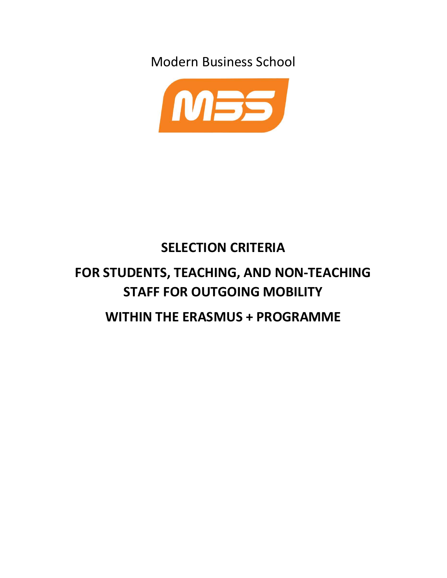Modern Business School



# SELECTION CRITERIA FOR STUDENTS, TEACHING, AND NON-TEACHING STAFF FOR OUTGOING MOBILITY WITHIN THE ERASMUS + PROGRAMME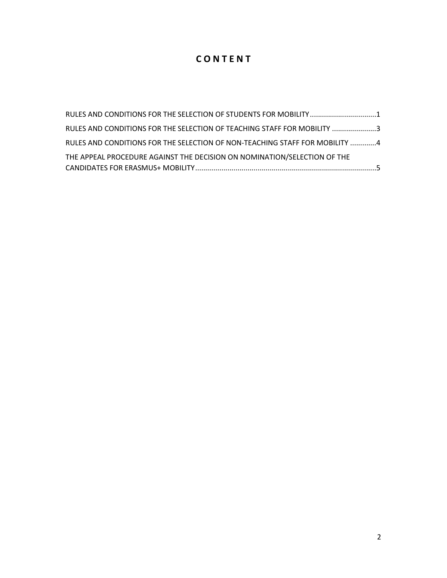### C O N T E N T

| RULES AND CONDITIONS FOR THE SELECTION OF STUDENTS FOR MOBILITY 1           |
|-----------------------------------------------------------------------------|
| RULES AND CONDITIONS FOR THE SELECTION OF TEACHING STAFF FOR MOBILITY 3     |
| RULES AND CONDITIONS FOR THE SELECTION OF NON-TEACHING STAFF FOR MOBILITY 4 |
| THE APPEAL PROCEDURE AGAINST THE DECISION ON NOMINATION/SELECTION OF THE    |
|                                                                             |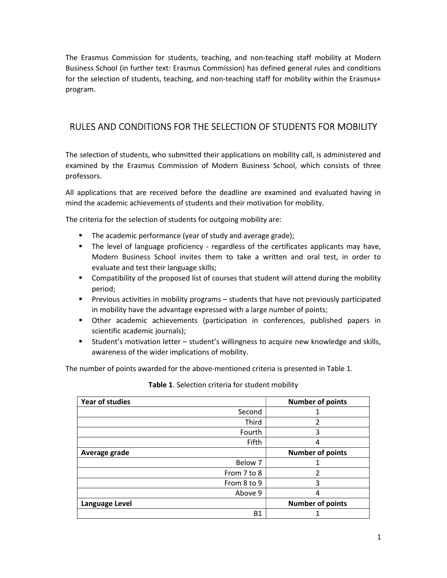The Erasmus Commission for students, teaching, and non-teaching staff mobility at Modern Business School (in further text: Erasmus Commission) has defined general rules and conditions for the selection of students, teaching, and non-teaching staff for mobility within the Erasmus+ program.

#### RULES AND CONDITIONS FOR THE SELECTION OF STUDENTS FOR MOBILITY

The selection of students, who submitted their applications on mobility call, is administered and examined by the Erasmus Commission of Modern Business School, which consists of three professors.

All applications that are received before the deadline are examined and evaluated having in mind the academic achievements of students and their motivation for mobility.

The criteria for the selection of students for outgoing mobility are:

- The academic performance (year of study and average grade);
- **The level of language proficiency regardless of the certificates applicants may have,** Modern Business School invites them to take a written and oral test, in order to evaluate and test their language skills;
- Compatibility of the proposed list of courses that student will attend during the mobility period;
- **Previous activities in mobility programs students that have not previously participated** in mobility have the advantage expressed with a large number of points;
- Other academic achievements (participation in conferences, published papers in scientific academic journals);
- Student's motivation letter student's willingness to acquire new knowledge and skills, awareness of the wider implications of mobility.

The number of points awarded for the above-mentioned criteria is presented in Table 1.

| Year of studies | <b>Number of points</b> |
|-----------------|-------------------------|
| Second          |                         |
| Third           | $\overline{2}$          |
| Fourth          | 3                       |
| Fifth           | 4                       |
| Average grade   | <b>Number of points</b> |
| Below 7         |                         |
| From 7 to 8     | $\overline{2}$          |
| From 8 to 9     | 3                       |
| Above 9         | 4                       |
| Language Level  | <b>Number of points</b> |
| <b>B1</b>       |                         |

Table 1. Selection criteria for student mobility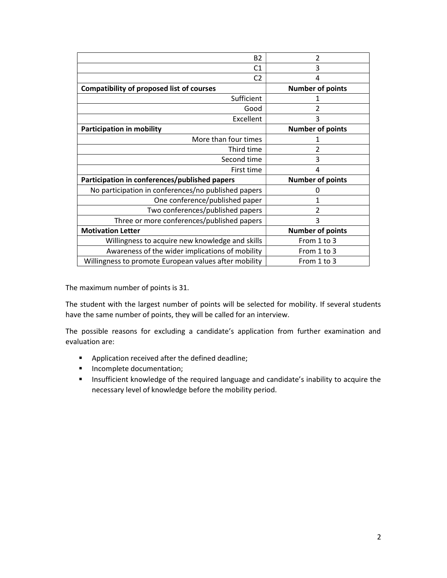| <b>B2</b>                                             | 2                       |
|-------------------------------------------------------|-------------------------|
| C1                                                    | 3                       |
| C <sub>2</sub>                                        | 4                       |
| <b>Compatibility of proposed list of courses</b>      | <b>Number of points</b> |
| Sufficient                                            |                         |
| Good                                                  |                         |
| Excellent                                             | 3                       |
| <b>Participation in mobility</b>                      | <b>Number of points</b> |
| More than four times                                  |                         |
| Third time                                            | 2                       |
| Second time                                           | 3                       |
| First time                                            | 4                       |
| Participation in conferences/published papers         | <b>Number of points</b> |
| No participation in conferences/no published papers   | O                       |
| One conference/published paper                        |                         |
| Two conferences/published papers                      |                         |
| Three or more conferences/published papers            | 3                       |
| <b>Motivation Letter</b>                              | <b>Number of points</b> |
| Willingness to acquire new knowledge and skills       | From 1 to 3             |
| Awareness of the wider implications of mobility       | From 1 to 3             |
| Willingness to promote European values after mobility | From 1 to 3             |
|                                                       |                         |

The maximum number of points is 31.

The student with the largest number of points will be selected for mobility. If several students have the same number of points, they will be called for an interview.

The possible reasons for excluding a candidate's application from further examination and evaluation are:

- **Application received after the defined deadline;**
- **Incomplete documentation;**
- **Insufficient knowledge of the required language and candidate's inability to acquire the** necessary level of knowledge before the mobility period.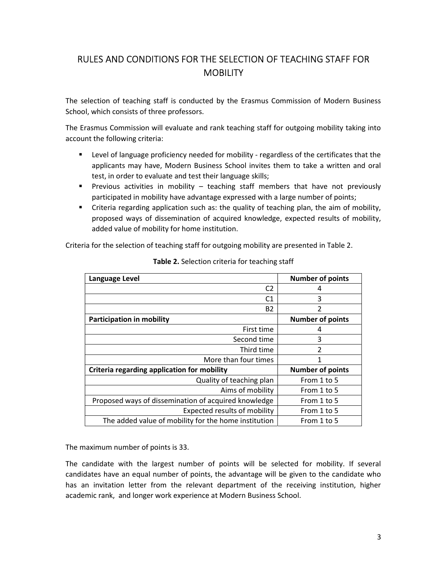### RULES AND CONDITIONS FOR THE SELECTION OF TEACHING STAFF FOR **MOBILITY**

The selection of teaching staff is conducted by the Erasmus Commission of Modern Business School, which consists of three professors.

The Erasmus Commission will evaluate and rank teaching staff for outgoing mobility taking into account the following criteria:

- Level of language proficiency needed for mobility regardless of the certificates that the applicants may have, Modern Business School invites them to take a written and oral test, in order to evaluate and test their language skills;
- Previous activities in mobility teaching staff members that have not previously participated in mobility have advantage expressed with a large number of points;
- Criteria regarding application such as: the quality of teaching plan, the aim of mobility, proposed ways of dissemination of acquired knowledge, expected results of mobility, added value of mobility for home institution.

Criteria for the selection of teaching staff for outgoing mobility are presented in Table 2.

| Language Level                                       | <b>Number of points</b> |
|------------------------------------------------------|-------------------------|
| C <sub>2</sub>                                       | 4                       |
| C1                                                   | 3                       |
| <b>B2</b>                                            | 2                       |
| <b>Participation in mobility</b>                     | <b>Number of points</b> |
| First time                                           | 4                       |
| Second time                                          | 3                       |
| Third time                                           | 2                       |
| More than four times                                 | 1                       |
| Criteria regarding application for mobility          | <b>Number of points</b> |
| Quality of teaching plan                             | From 1 to 5             |
| Aims of mobility                                     | From 1 to 5             |
| Proposed ways of dissemination of acquired knowledge | From 1 to 5             |
| Expected results of mobility                         | From 1 to 5             |
| The added value of mobility for the home institution | From 1 to 5             |

Table 2. Selection criteria for teaching staff

The maximum number of points is 33.

The candidate with the largest number of points will be selected for mobility. If several candidates have an equal number of points, the advantage will be given to the candidate who has an invitation letter from the relevant department of the receiving institution, higher academic rank, and longer work experience at Modern Business School.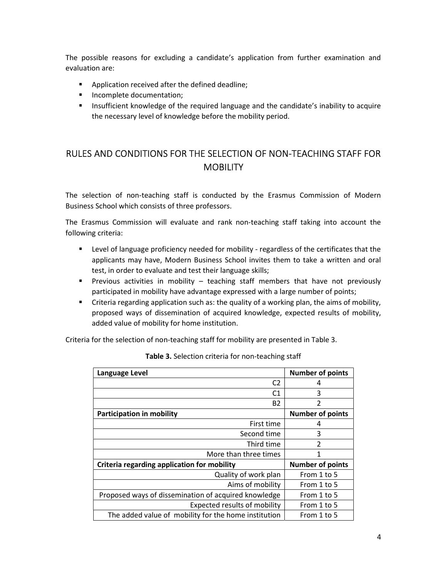The possible reasons for excluding a candidate's application from further examination and evaluation are:

- **Application received after the defined deadline;**
- **Incomplete documentation;**
- **Insufficient knowledge of the required language and the candidate's inability to acquire** the necessary level of knowledge before the mobility period.

#### RULES AND CONDITIONS FOR THE SELECTION OF NON-TEACHING STAFF FOR MOBILITY

The selection of non-teaching staff is conducted by the Erasmus Commission of Modern Business School which consists of three professors.

The Erasmus Commission will evaluate and rank non-teaching staff taking into account the following criteria:

- Level of language proficiency needed for mobility regardless of the certificates that the applicants may have, Modern Business School invites them to take a written and oral test, in order to evaluate and test their language skills;
- **Previous activities in mobility teaching staff members that have not previously** participated in mobility have advantage expressed with a large number of points;
- Criteria regarding application such as: the quality of a working plan, the aims of mobility, proposed ways of dissemination of acquired knowledge, expected results of mobility, added value of mobility for home institution.

Criteria for the selection of non-teaching staff for mobility are presented in Table 3.

| <b>Number of points</b> |
|-------------------------|
| 4                       |
| 3                       |
| $\overline{2}$          |
| <b>Number of points</b> |
| 4                       |
| 3                       |
| $\overline{2}$          |
| 1                       |
| <b>Number of points</b> |
| From 1 to 5             |
| From 1 to 5             |
| From 1 to 5             |
| From 1 to 5             |
| From 1 to 5             |
|                         |

Table 3. Selection criteria for non-teaching staff